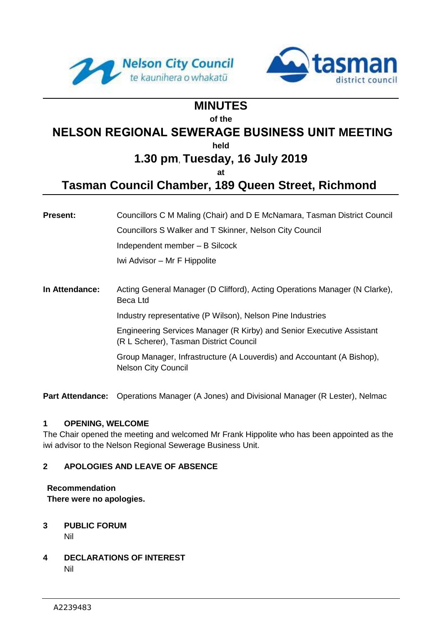



# **MINUTES**

#### **of the**

# **NELSON REGIONAL SEWERAGE BUSINESS UNIT MEETING**

**held**

# **1.30 pm**, **Tuesday, 16 July 2019**

**at**

# **Tasman Council Chamber, 189 Queen Street, Richmond**

**Present:** Councillors C M Maling (Chair) and D E McNamara, Tasman District Council Councillors S Walker and T Skinner, Nelson City Council Independent member – B Silcock Iwi Advisor – Mr F Hippolite

**In Attendance:** Acting General Manager (D Clifford), Acting Operations Manager (N Clarke), Beca Ltd

Industry representative (P Wilson), Nelson Pine Industries

Engineering Services Manager (R Kirby) and Senior Executive Assistant (R L Scherer), Tasman District Council

Group Manager, Infrastructure (A Louverdis) and Accountant (A Bishop), Nelson City Council

**Part Attendance:** Operations Manager (A Jones) and Divisional Manager (R Lester), Nelmac

# **1 OPENING, WELCOME**

The Chair opened the meeting and welcomed Mr Frank Hippolite who has been appointed as the iwi advisor to the Nelson Regional Sewerage Business Unit.

# **2 APOLOGIES AND LEAVE OF ABSENCE**

**Recommendation**

**There were no apologies.**

- **3 PUBLIC FORUM** Nil
- **4 DECLARATIONS OF INTEREST** Nil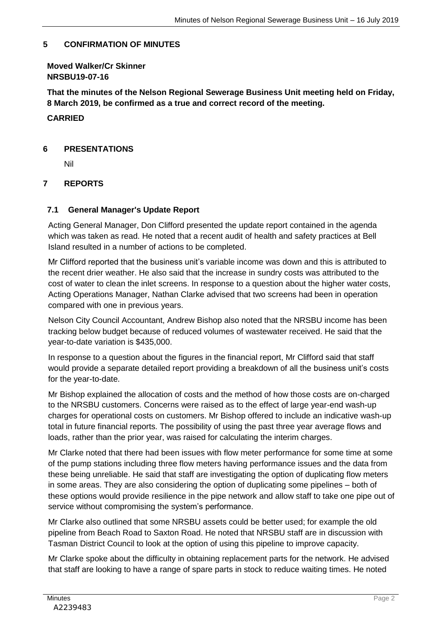### **5 CONFIRMATION OF MINUTES**

**Moved Walker/Cr Skinner NRSBU19-07-16**

**That the minutes of the Nelson Regional Sewerage Business Unit meeting held on Friday, 8 March 2019, be confirmed as a true and correct record of the meeting.**

**CARRIED**

### **6 PRESENTATIONS**

Nil

# **7 REPORTS**

### **7.1 General Manager's Update Report**

Acting General Manager, Don Clifford presented the update report contained in the agenda which was taken as read. He noted that a recent audit of health and safety practices at Bell Island resulted in a number of actions to be completed.

Mr Clifford reported that the business unit's variable income was down and this is attributed to the recent drier weather. He also said that the increase in sundry costs was attributed to the cost of water to clean the inlet screens. In response to a question about the higher water costs, Acting Operations Manager, Nathan Clarke advised that two screens had been in operation compared with one in previous years.

Nelson City Council Accountant, Andrew Bishop also noted that the NRSBU income has been tracking below budget because of reduced volumes of wastewater received. He said that the year-to-date variation is \$435,000.

In response to a question about the figures in the financial report, Mr Clifford said that staff would provide a separate detailed report providing a breakdown of all the business unit's costs for the year-to-date.

Mr Bishop explained the allocation of costs and the method of how those costs are on-charged to the NRSBU customers. Concerns were raised as to the effect of large year-end wash-up charges for operational costs on customers. Mr Bishop offered to include an indicative wash-up total in future financial reports. The possibility of using the past three year average flows and loads, rather than the prior year, was raised for calculating the interim charges.

Mr Clarke noted that there had been issues with flow meter performance for some time at some of the pump stations including three flow meters having performance issues and the data from these being unreliable. He said that staff are investigating the option of duplicating flow meters in some areas. They are also considering the option of duplicating some pipelines – both of these options would provide resilience in the pipe network and allow staff to take one pipe out of service without compromising the system's performance.

Mr Clarke also outlined that some NRSBU assets could be better used; for example the old pipeline from Beach Road to Saxton Road. He noted that NRSBU staff are in discussion with Tasman District Council to look at the option of using this pipeline to improve capacity.

Mr Clarke spoke about the difficulty in obtaining replacement parts for the network. He advised that staff are looking to have a range of spare parts in stock to reduce waiting times. He noted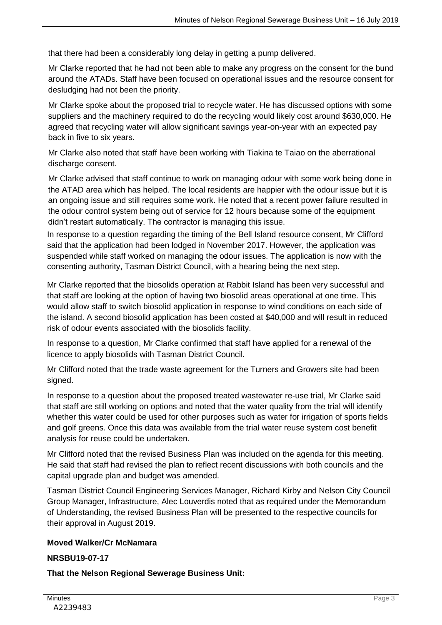that there had been a considerably long delay in getting a pump delivered.

Mr Clarke reported that he had not been able to make any progress on the consent for the bund around the ATADs. Staff have been focused on operational issues and the resource consent for desludging had not been the priority.

Mr Clarke spoke about the proposed trial to recycle water. He has discussed options with some suppliers and the machinery required to do the recycling would likely cost around \$630,000. He agreed that recycling water will allow significant savings year-on-year with an expected pay back in five to six years.

Mr Clarke also noted that staff have been working with Tiakina te Taiao on the aberrational discharge consent.

Mr Clarke advised that staff continue to work on managing odour with some work being done in the ATAD area which has helped. The local residents are happier with the odour issue but it is an ongoing issue and still requires some work. He noted that a recent power failure resulted in the odour control system being out of service for 12 hours because some of the equipment didn't restart automatically. The contractor is managing this issue.

In response to a question regarding the timing of the Bell Island resource consent, Mr Clifford said that the application had been lodged in November 2017. However, the application was suspended while staff worked on managing the odour issues. The application is now with the consenting authority, Tasman District Council, with a hearing being the next step.

Mr Clarke reported that the biosolids operation at Rabbit Island has been very successful and that staff are looking at the option of having two biosolid areas operational at one time. This would allow staff to switch biosolid application in response to wind conditions on each side of the island. A second biosolid application has been costed at \$40,000 and will result in reduced risk of odour events associated with the biosolids facility.

In response to a question, Mr Clarke confirmed that staff have applied for a renewal of the licence to apply biosolids with Tasman District Council.

Mr Clifford noted that the trade waste agreement for the Turners and Growers site had been signed.

In response to a question about the proposed treated wastewater re-use trial, Mr Clarke said that staff are still working on options and noted that the water quality from the trial will identify whether this water could be used for other purposes such as water for irrigation of sports fields and golf greens. Once this data was available from the trial water reuse system cost benefit analysis for reuse could be undertaken.

Mr Clifford noted that the revised Business Plan was included on the agenda for this meeting. He said that staff had revised the plan to reflect recent discussions with both councils and the capital upgrade plan and budget was amended.

Tasman District Council Engineering Services Manager, Richard Kirby and Nelson City Council Group Manager, Infrastructure, Alec Louverdis noted that as required under the Memorandum of Understanding, the revised Business Plan will be presented to the respective councils for their approval in August 2019.

#### **Moved Walker/Cr McNamara**

#### **NRSBU19-07-17**

**That the Nelson Regional Sewerage Business Unit:**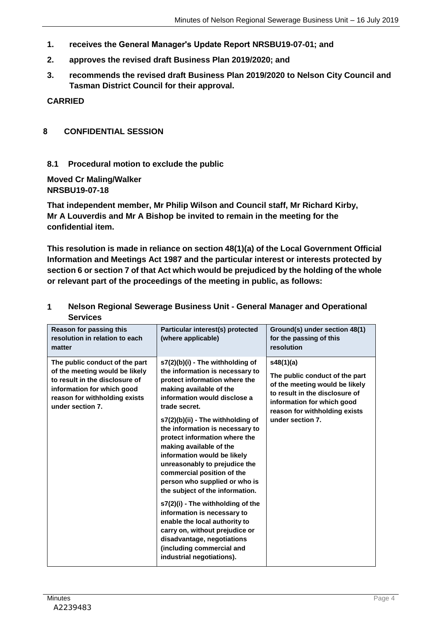- **1. receives the General Manager's Update Report NRSBU19-07-01; and**
- **2. approves the revised draft Business Plan 2019/2020; and**
- **3. recommends the revised draft Business Plan 2019/2020 to Nelson City Council and Tasman District Council for their approval.**

**CARRIED**

### **8 CONFIDENTIAL SESSION**

# **8.1 Procedural motion to exclude the public**

**Moved Cr Maling/Walker NRSBU19-07-18**

**That independent member, Mr Philip Wilson and Council staff, Mr Richard Kirby, Mr A Louverdis and Mr A Bishop be invited to remain in the meeting for the confidential item.**

**This resolution is made in reliance on section 48(1)(a) of the Local Government Official Information and Meetings Act 1987 and the particular interest or interests protected by section 6 or section 7 of that Act which would be prejudiced by the holding of the whole or relevant part of the proceedings of the meeting in public, as follows:**

| Reason for passing this<br>resolution in relation to each<br>matter                                                                                                                   | Particular interest(s) protected<br>(where applicable)                                                                                                                                                                                                                                                                                                                                                                                                                                                                                                                                                                                                                                                                | Ground(s) under section 48(1)<br>for the passing of this<br>resolution                                                                                                                             |
|---------------------------------------------------------------------------------------------------------------------------------------------------------------------------------------|-----------------------------------------------------------------------------------------------------------------------------------------------------------------------------------------------------------------------------------------------------------------------------------------------------------------------------------------------------------------------------------------------------------------------------------------------------------------------------------------------------------------------------------------------------------------------------------------------------------------------------------------------------------------------------------------------------------------------|----------------------------------------------------------------------------------------------------------------------------------------------------------------------------------------------------|
| The public conduct of the part<br>of the meeting would be likely<br>to result in the disclosure of<br>information for which good<br>reason for withholding exists<br>under section 7. | s7(2)(b)(i) - The withholding of<br>the information is necessary to<br>protect information where the<br>making available of the<br>information would disclose a<br>trade secret.<br>s7(2)(b)(ii) - The withholding of<br>the information is necessary to<br>protect information where the<br>making available of the<br>information would be likely<br>unreasonably to prejudice the<br>commercial position of the<br>person who supplied or who is<br>the subject of the information.<br>s7(2)(i) - The withholding of the<br>information is necessary to<br>enable the local authority to<br>carry on, without prejudice or<br>disadvantage, negotiations<br>(including commercial and<br>industrial negotiations). | s48(1)(a)<br>The public conduct of the part<br>of the meeting would be likely<br>to result in the disclosure of<br>information for which good<br>reason for withholding exists<br>under section 7. |

# **1 Nelson Regional Sewerage Business Unit - General Manager and Operational Services**